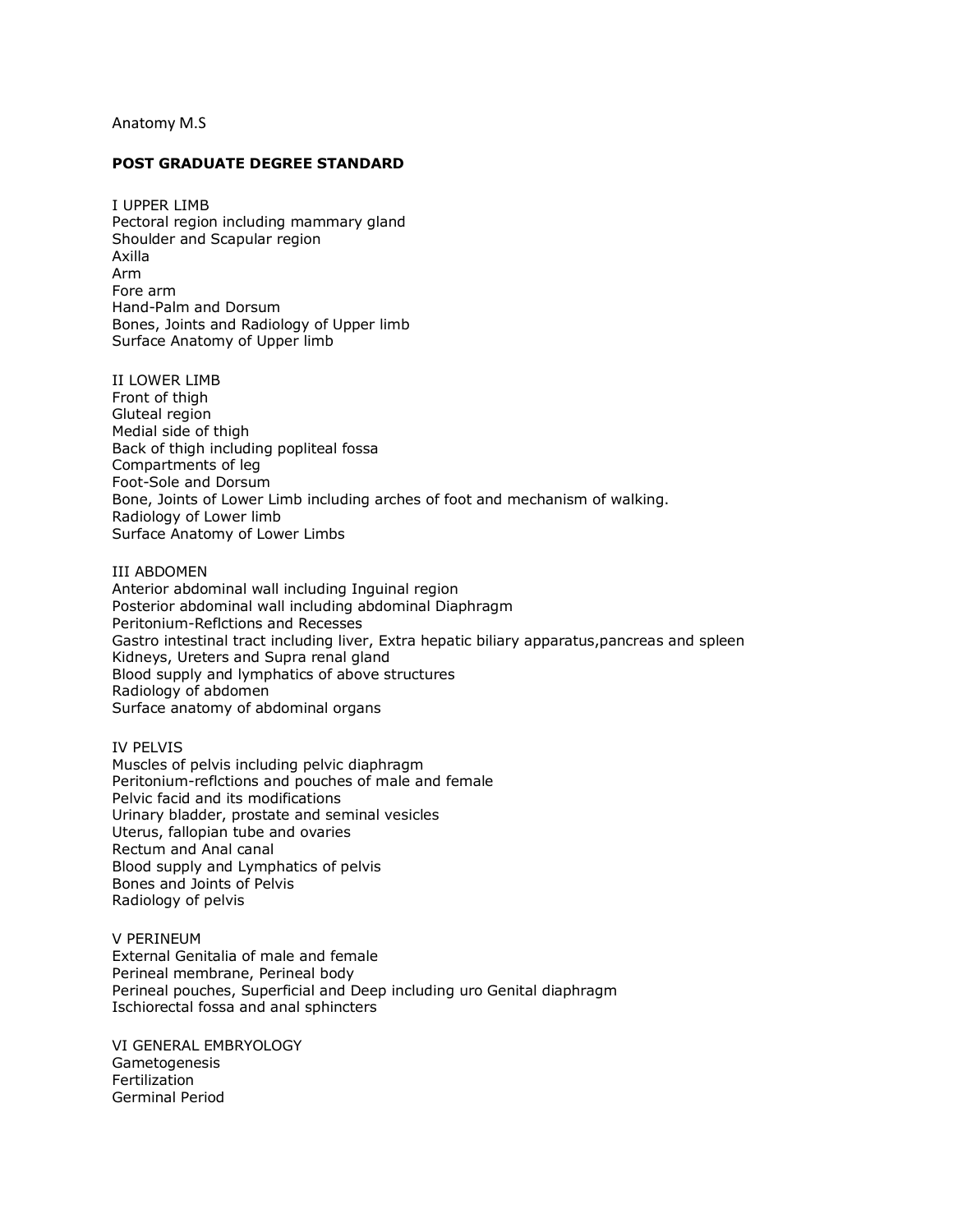## Anatomy M.S

## **POST GRADUATE DEGREE STANDARD**

I UPPER LIMB Pectoral region including mammary gland Shoulder and Scapular region Axilla Arm Fore arm Hand-Palm and Dorsum Bones, Joints and Radiology of Upper limb Surface Anatomy of Upper limb

II LOWER LIMB Front of thigh Gluteal region Medial side of thigh Back of thigh including popliteal fossa Compartments of leg Foot-Sole and Dorsum Bone, Joints of Lower Limb including arches of foot and mechanism of walking. Radiology of Lower limb Surface Anatomy of Lower Limbs

## III ABDOMEN

Anterior abdominal wall including Inguinal region Posterior abdominal wall including abdominal Diaphragm Peritonium-Reflctions and Recesses Gastro intestinal tract including liver, Extra hepatic biliary apparatus,pancreas and spleen Kidneys, Ureters and Supra renal gland Blood supply and lymphatics of above structures Radiology of abdomen Surface anatomy of abdominal organs

## IV PELVIS

Muscles of pelvis including pelvic diaphragm Peritonium-reflctions and pouches of male and female Pelvic facid and its modifications Urinary bladder, prostate and seminal vesicles Uterus, fallopian tube and ovaries Rectum and Anal canal Blood supply and Lymphatics of pelvis Bones and Joints of Pelvis Radiology of pelvis

V PERINEUM External Genitalia of male and female Perineal membrane, Perineal body Perineal pouches, Superficial and Deep including uro Genital diaphragm Ischiorectal fossa and anal sphincters

VI GENERAL EMBRYOLOGY **Gametogenesis Fertilization** Germinal Period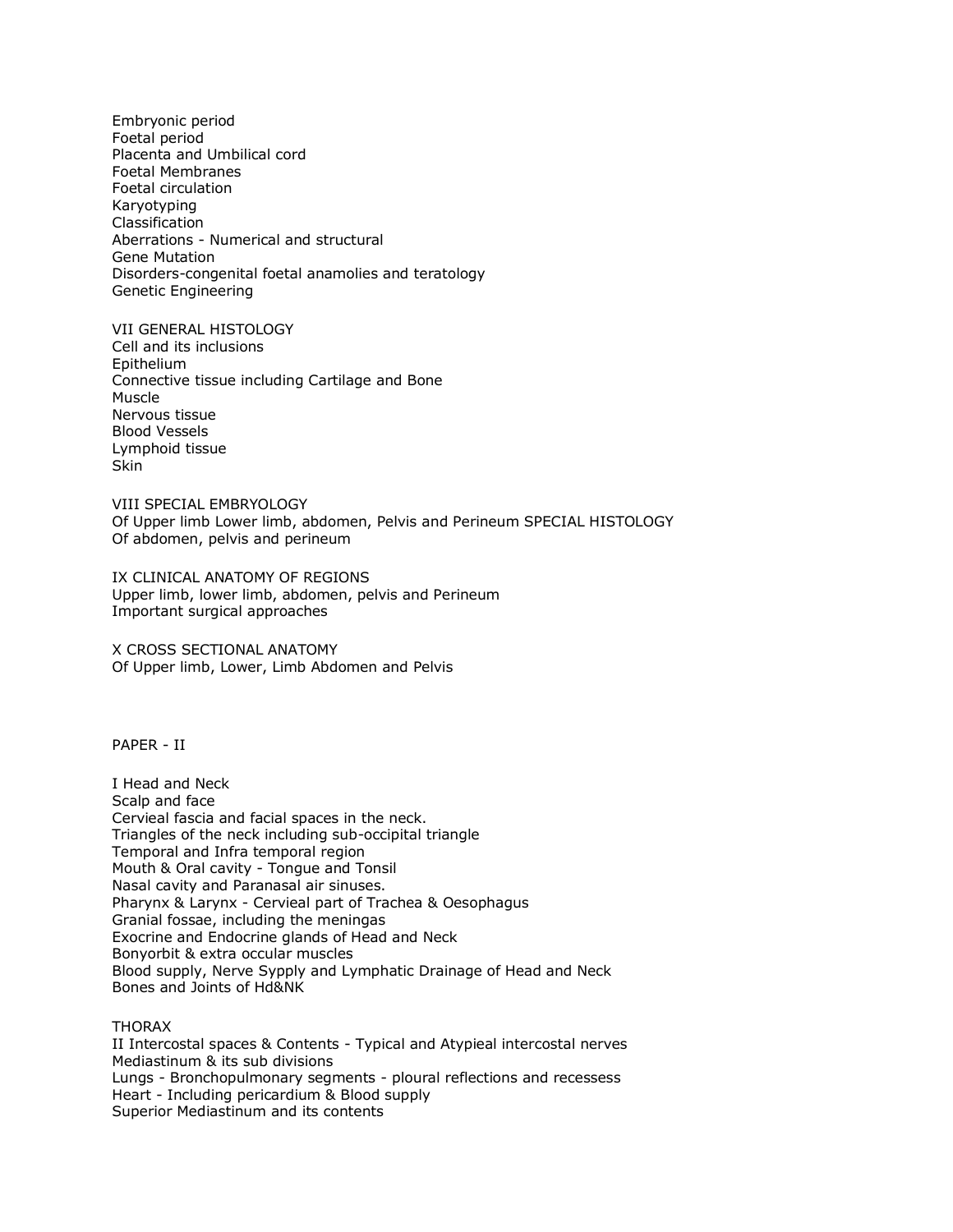Embryonic period Foetal period Placenta and Umbilical cord Foetal Membranes Foetal circulation Karyotyping Classification Aberrations - Numerical and structural Gene Mutation Disorders-congenital foetal anamolies and teratology Genetic Engineering

VII GENERAL HISTOLOGY Cell and its inclusions Epithelium Connective tissue including Cartilage and Bone Muscle Nervous tissue Blood Vessels Lymphoid tissue **Skin** 

VIII SPECIAL EMBRYOLOGY Of Upper limb Lower limb, abdomen, Pelvis and Perineum SPECIAL HISTOLOGY Of abdomen, pelvis and perineum

IX CLINICAL ANATOMY OF REGIONS Upper limb, lower limb, abdomen, pelvis and Perineum Important surgical approaches

X CROSS SECTIONAL ANATOMY Of Upper limb, Lower, Limb Abdomen and Pelvis

PAPER - II

I Head and Neck Scalp and face Cervieal fascia and facial spaces in the neck. Triangles of the neck including sub-occipital triangle Temporal and Infra temporal region Mouth & Oral cavity - Tongue and Tonsil Nasal cavity and Paranasal air sinuses. Pharynx & Larynx - Cervieal part of Trachea & Oesophagus Granial fossae, including the meningas Exocrine and Endocrine glands of Head and Neck Bonyorbit & extra occular muscles Blood supply, Nerve Sypply and Lymphatic Drainage of Head and Neck Bones and Joints of Hd&NK

THORAX

II Intercostal spaces & Contents - Typical and Atypieal intercostal nerves Mediastinum & its sub divisions Lungs - Bronchopulmonary segments - ploural reflections and recessess Heart - Including pericardium & Blood supply Superior Mediastinum and its contents